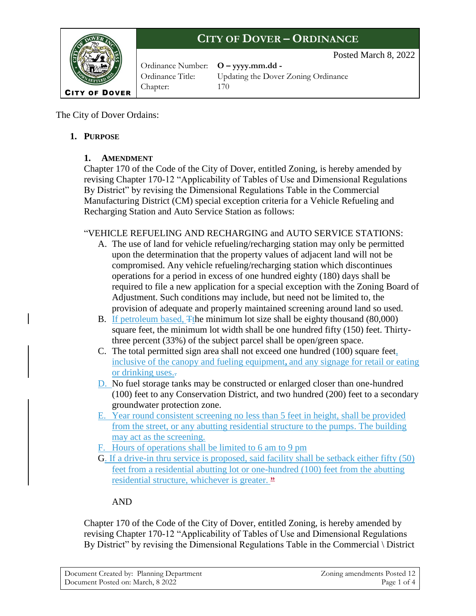

Ordinance Number: **O – yyyy.mm.dd -** Chapter: 170

Ordinance Title: Updating the Dover Zoning Ordinance

Posted March 8, 2022

The City of Dover Ordains:

## **1. PURPOSE**

## **1. AMENDMENT**

Chapter 170 of the Code of the City of Dover, entitled Zoning, is hereby amended by revising Chapter 170-12 "Applicability of Tables of Use and Dimensional Regulations By District" by revising the Dimensional Regulations Table in the Commercial Manufacturing District (CM) special exception criteria for a Vehicle Refueling and Recharging Station and Auto Service Station as follows:

## "VEHICLE REFUELING AND RECHARGING and AUTO SERVICE STATIONS:

- A. The use of land for vehicle refueling/recharging station may only be permitted upon the determination that the property values of adjacent land will not be compromised. Any vehicle refueling/recharging station which discontinues operations for a period in excess of one hundred eighty (180) days shall be required to file a new application for a special exception with the Zoning Board of Adjustment. Such conditions may include, but need not be limited to, the provision of adequate and properly maintained screening around land so used.
- B. If petroleum based, Tthe minimum lot size shall be eighty thousand (80,000) square feet, the minimum lot width shall be one hundred fifty (150) feet. Thirtythree percent (33%) of the subject parcel shall be open/green space.
- C. The total permitted sign area shall not exceed one hundred (100) square feet, inclusive of the canopy and fueling equipment**,** and any signage for retail or eating or drinking uses..
- D. No fuel storage tanks may be constructed or enlarged closer than one-hundred (100) feet to any Conservation District, and two hundred (200) feet to a secondary groundwater protection zone.
- E. Year round consistent screening no less than 5 feet in height, shall be provided from the street, or any abutting residential structure to the pumps. The building may act as the screening.
- F. Hours of operations shall be limited to 6 am to 9 pm
- G. If a drive-in thru service is proposed, said facility shall be setback either fifty (50) feet from a residential abutting lot or one-hundred (100) feet from the abutting residential structure, whichever is greater. **"**

## AND

Chapter 170 of the Code of the City of Dover, entitled Zoning, is hereby amended by revising Chapter 170-12 "Applicability of Tables of Use and Dimensional Regulations By District" by revising the Dimensional Regulations Table in the Commercial \ District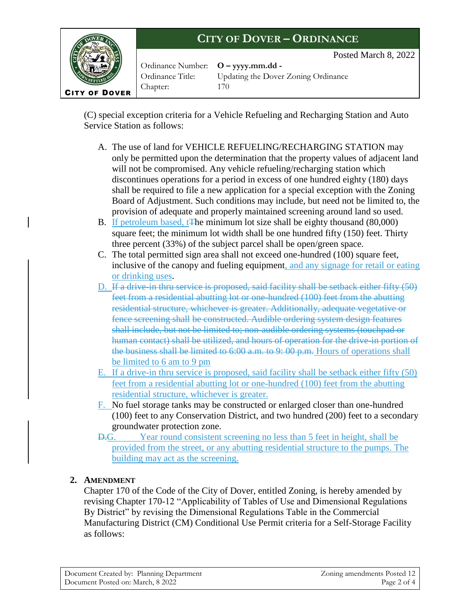

Ordinance Number: **O – yyyy.mm.dd -** Chapter: 170

Ordinance Title: Updating the Dover Zoning Ordinance

Posted March 8, 2022

(C) special exception criteria for a Vehicle Refueling and Recharging Station and Auto Service Station as follows:

- A. The use of land for VEHICLE REFUELING/RECHARGING STATION may only be permitted upon the determination that the property values of adjacent land will not be compromised. Any vehicle refueling/recharging station which discontinues operations for a period in excess of one hundred eighty (180) days shall be required to file a new application for a special exception with the Zoning Board of Adjustment. Such conditions may include, but need not be limited to, the provision of adequate and properly maintained screening around land so used.
- B. If petroleum based, t<sub>The minimum</sub> lot size shall be eighty thousand (80,000) square feet; the minimum lot width shall be one hundred fifty (150) feet. Thirty three percent (33%) of the subject parcel shall be open/green space.
- C. The total permitted sign area shall not exceed one-hundred (100) square feet, inclusive of the canopy and fueling equipment, and any signage for retail or eating or drinking uses.
- D. If a drive-in thru service is proposed, said facility shall be setback either fifty (50) feet from a residential abutting lot or one-hundred (100) feet from the abutting residential structure, whichever is greater. Additionally, adequate vegetative or fence screening shall be constructed. Audible ordering system design features shall include, but not be limited to; non-audible ordering systems (touchpad or human contact) shall be utilized, and hours of operation for the drive-in portion of the business shall be limited to 6:00 a.m. to 9: 00 p.m. Hours of operations shall be limited to 6 am to 9 pm
- E. If a drive-in thru service is proposed, said facility shall be setback either fifty (50) feet from a residential abutting lot or one-hundred (100) feet from the abutting residential structure, whichever is greater.
- F. No fuel storage tanks may be constructed or enlarged closer than one-hundred (100) feet to any Conservation District, and two hundred (200) feet to a secondary groundwater protection zone.
- D.G. Year round consistent screening no less than 5 feet in height, shall be provided from the street, or any abutting residential structure to the pumps. The building may act as the screening.

## **2. AMENDMENT**

Chapter 170 of the Code of the City of Dover, entitled Zoning, is hereby amended by revising Chapter 170-12 "Applicability of Tables of Use and Dimensional Regulations By District" by revising the Dimensional Regulations Table in the Commercial Manufacturing District (CM) Conditional Use Permit criteria for a Self-Storage Facility as follows: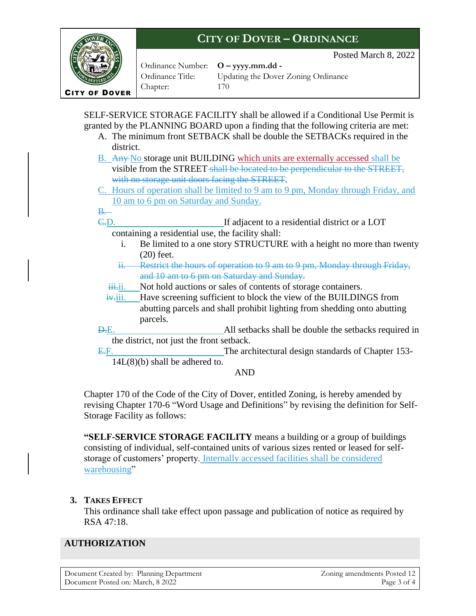**ITY OF DOVER** 

Ordinance Number: **O – yyyy.mm.dd -** Chapter: 170

Ordinance Title: Updating the Dover Zoning Ordinance

Posted March 8, 2022

SELF-SERVICE STORAGE FACILITY shall be allowed if a Conditional Use Permit is granted by the PLANNING BOARD upon a finding that the following criteria are met:

- A. The minimum front SETBACK shall be double the SETBACKs required in the district.
- B. Any No storage unit BUILDING which units are externally accessed shall be visible from the STREET shall be located to be perpendicular to the STREET, with no storage unit doors facing the STREET.
- C. Hours of operation shall be limited to 9 am to 9 pm, Monday through Friday, and 10 am to 6 pm on Saturday and Sunday.

#### $B_{\cdot}$

C.D. If adjacent to a residential district or a LOT containing a residential use, the facility shall:

- i. Be limited to a one story STRUCTURE with a height no more than twenty (20) feet.
- ii. Restrict the hours of operation to 9 am to 9 pm, Monday through Friday, and 10 am to 6 pm on Saturday and Sunday.
- iii.ii. Not hold auctions or sales of contents of storage containers.
- $i_{\text{y}}$ iii. Have screening sufficient to block the view of the BUILDINGS from abutting parcels and shall prohibit lighting from shedding onto abutting parcels.
- D.E. All setbacks shall be double the setbacks required in the district, not just the front setback.
- E.F. The architectural design standards of Chapter 153-14L(8)(b) shall be adhered to.

#### AND

Chapter 170 of the Code of the City of Dover, entitled Zoning, is hereby amended by revising Chapter 170-6 "Word Usage and Definitions" by revising the definition for Self-Storage Facility as follows:

**"SELF-SERVICE STORAGE FACILITY** means a building or a group of buildings consisting of individual, self-contained units of various sizes rented or leased for selfstorage of customers' property. Internally accessed facilities shall be considered warehousing"

## **3. TAKES EFFECT**

This ordinance shall take effect upon passage and publication of notice as required by RSA 47:18.

## **AUTHORIZATION**